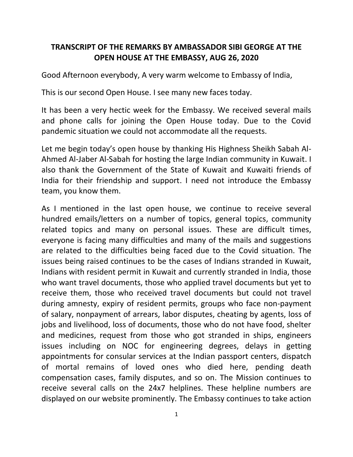## **TRANSCRIPT OF THE REMARKS BY AMBASSADOR SIBI GEORGE AT THE OPEN HOUSE AT THE EMBASSY, AUG 26, 2020**

Good Afternoon everybody, A very warm welcome to Embassy of India,

This is our second Open House. I see many new faces today.

It has been a very hectic week for the Embassy. We received several mails and phone calls for joining the Open House today. Due to the Covid pandemic situation we could not accommodate all the requests.

Let me begin today's open house by thanking His Highness Sheikh Sabah Al-Ahmed Al-Jaber Al-Sabah for hosting the large Indian community in Kuwait. I also thank the Government of the State of Kuwait and Kuwaiti friends of India for their friendship and support. I need not introduce the Embassy team, you know them.

As I mentioned in the last open house, we continue to receive several hundred emails/letters on a number of topics, general topics, community related topics and many on personal issues. These are difficult times, everyone is facing many difficulties and many of the mails and suggestions are related to the difficulties being faced due to the Covid situation. The issues being raised continues to be the cases of Indians stranded in Kuwait, Indians with resident permit in Kuwait and currently stranded in India, those who want travel documents, those who applied travel documents but yet to receive them, those who received travel documents but could not travel during amnesty, expiry of resident permits, groups who face non-payment of salary, nonpayment of arrears, labor disputes, cheating by agents, loss of jobs and livelihood, loss of documents, those who do not have food, shelter and medicines, request from those who got stranded in ships, engineers issues including on NOC for engineering degrees, delays in getting appointments for consular services at the Indian passport centers, dispatch of mortal remains of loved ones who died here, pending death compensation cases, family disputes, and so on. The Mission continues to receive several calls on the 24x7 helplines. These helpline numbers are displayed on our website prominently. The Embassy continues to take action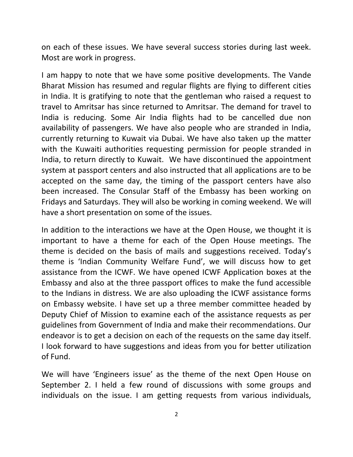on each of these issues. We have several success stories during last week. Most are work in progress.

I am happy to note that we have some positive developments. The Vande Bharat Mission has resumed and regular flights are flying to different cities in India. It is gratifying to note that the gentleman who raised a request to travel to Amritsar has since returned to Amritsar. The demand for travel to India is reducing. Some Air India flights had to be cancelled due non availability of passengers. We have also people who are stranded in India, currently returning to Kuwait via Dubai. We have also taken up the matter with the Kuwaiti authorities requesting permission for people stranded in India, to return directly to Kuwait. We have discontinued the appointment system at passport centers and also instructed that all applications are to be accepted on the same day, the timing of the passport centers have also been increased. The Consular Staff of the Embassy has been working on Fridays and Saturdays. They will also be working in coming weekend. We will have a short presentation on some of the issues.

In addition to the interactions we have at the Open House, we thought it is important to have a theme for each of the Open House meetings. The theme is decided on the basis of mails and suggestions received. Today's theme is 'Indian Community Welfare Fund', we will discuss how to get assistance from the ICWF. We have opened ICWF Application boxes at the Embassy and also at the three passport offices to make the fund accessible to the Indians in distress. We are also uploading the ICWF assistance forms on Embassy website. I have set up a three member committee headed by Deputy Chief of Mission to examine each of the assistance requests as per guidelines from Government of India and make their recommendations. Our endeavor is to get a decision on each of the requests on the same day itself. I look forward to have suggestions and ideas from you for better utilization of Fund.

We will have 'Engineers issue' as the theme of the next Open House on September 2. I held a few round of discussions with some groups and individuals on the issue. I am getting requests from various individuals,